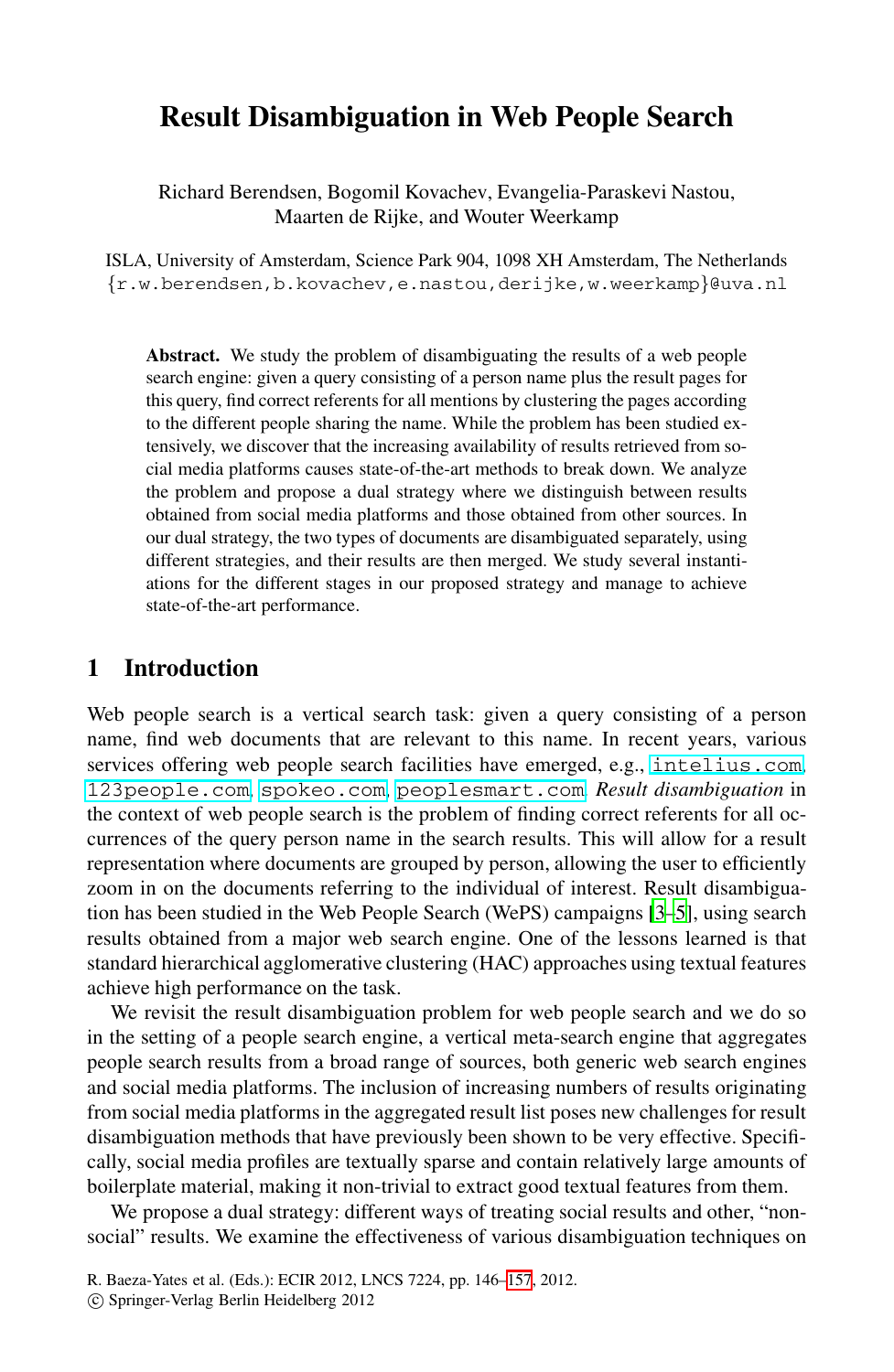# **Result Disambiguation in Web People Search**

Richard Berendsen, Bogomil Kovachev, Evangelia-Paraskevi Nastou, Maarten de Rijke, and Wouter Weerkamp

ISLA, University of Amsterdam, Science Park 904, 1098 XH Amsterdam, The Netherlands {r.w.berendsen,b.kovachev,e.nastou,derijke,w.weerkamp}@uva.nl

**Abstract.** We study the problem of disambiguating the results of a web people search engine: given a query consisting of a person name plus the result pages for this query, find correct referents for all mentions by clustering the pages according to the different people sharing the name. While the problem has been studied extensively, we discover that the increasing availability of results retrieved from social media platforms causes state-of-the-art methods to break down. We analyze the problem and propose a dual strategy where we distinguish between results obtained from social media platforms and those obtained from other sources. In our dual strategy, the two types of documents are disambiguated separately, using different strategies, and their results are then merged. We study several instantiations for the different stages in our propo[sed](intelius.com) [strategy](intelius.com) [and](intelius.com) [man](intelius.com)age to achieve [state-of-th](spokeo.com)[e-art](peoplesmart.com) [performance.](peoplesmart.com)

### **1 Introduction**

Web people search is a vertical search task: [g](#page-10-0)i[ve](#page-10-1)n a query consisting of a person name, find web documents that are relevant to this name. In recent years, various services offering web people search facilities have emerged, e.g., intelius.com, 123people.com, spokeo.com, peoplesmart.com. *Result disambiguation* in the context of web people search is the problem of finding correct referents for all occurrences of the query person name in the search results. This will allow for a result representation where documents are grouped by person, allowing the user to efficiently zoom in on the documents referring to the individual of interest. Result disambiguation has been studied in the Web People Search (WePS) campaigns [3–5], using search results obtained from a major web search engine. One of the lessons learned is that standard hierarchical agglomerative clustering (HAC) approaches using textual features achieve high performance on the task.

We revisit the result disambiguation problem for web people search and we do so in the setting of a people search engine, a vertical meta-search engine that aggregates people search results from a broad range of sources, both generic web search engines and social media platforms. T[he i](#page-11-0)nclusion of increasing numbers of results originating from social media platforms in the aggregated result list poses new challenges for result disambiguation methods that have previously been shown to be very effective. Specifically, social media profiles are textually sparse and contain relatively large amounts of boilerplate material, making it non-trivial to extract good textual features from them.

We propose a dual strategy: different ways of treating social results and other, "nonsocial" results. We examine the effectiveness of various disambiguation techniques on

R. Baeza-Yates et al. (Eds.): ECIR 2012, LNCS 7224, pp. 146–157, 2012.

<sup>-</sup>c Springer-Verlag Berlin Heidelberg 2012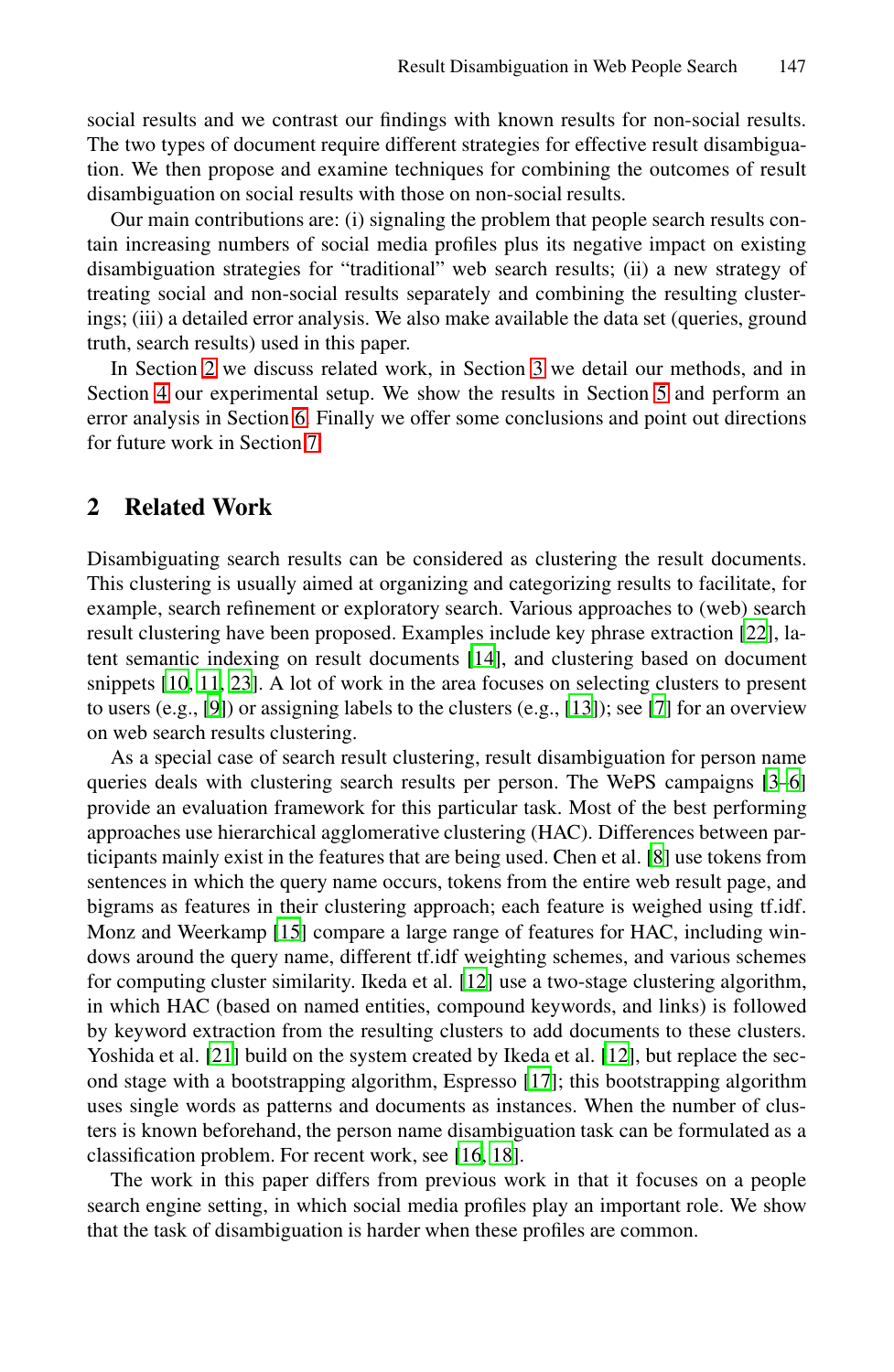social results and we contrast our findings with known results for non-social results. The two types of document require different strategies for effective result disambiguation. We then propose and exa[min](#page-2-0)e techniques for combining the outcomes of result disambiguation on social results with those on [non](#page-5-0)-social results.

[Our](#page-9-0) main contributions are: (i) signaling the problem that people search results contain i[nc](#page-10-2)reasing numbers of social media profiles plus its negative impact on existing disambiguation strategies for "traditional" web search results; (ii) a new strategy of treating social and non-social results separately and combining the resulting clusterings; (iii) a detailed error analysis. We also make available the data set (queries, ground truth, search results) used in this paper.

In Section 2 we discuss related work, in Section 3 we detail our methods, and in Section 4 our experimental setup. We show the results in Section 5 and perform an error analysis in Section 6. Finally we offer some conclus[ions](#page-11-1) and point out directions for future work in Sectio[n](#page-11-2) [7.](#page-11-2)

## **2 Related Work**

Disambiguating search results can be considered as clustering the result documents. This clustering is usually aimed at organizing and categorizi[ng](#page-10-0) [re](#page-11-3)sults to facilitate, for example, search refinement or exploratory search. Various approaches to (web) search result clustering have been proposed. Examples include key phrase extraction [22], latent semantic indexing on result documents [[14](#page-11-4)], and clustering based on document snippets [10, 11, 23]. A lot of work in the area focuses on selecting clusters to present to users  $(e.g., [9])$  or assigning labels to the clusters  $(e.g., [13])$ ; see [7] for an overview o[n we](#page-11-5)b search results clustering.

As a special case of search result clustering, result disambiguation for person name queries deals with clust[erin](#page-11-6)g search results per person. The WePS campaigns [3–6] provide an evaluation framework for this particular task. Most of the best performing approaches use hierarchical agglomerative clustering (HAC). Differences between participants mainly exist in the features that [are b](#page-11-6)eing used. Chen et al. [8] use tokens from sentences in which the query na[me](#page-11-7) occurs, tokens from the entire web result page, and bigrams as features in their clustering approach; each feature is weighed using tf.idf. Monz and Weerkamp [15] compare a large range of features for HAC, including windows around the query [nam](#page-11-8)[e,](#page-11-9) different tf.idf weighting schemes, and various schemes for computing cluster similarity. Ikeda et al. [12] use a two-stage clustering algorithm, in which HAC (based on named entities, compound keywords, and links) is followed by keyword extraction from the resulting clusters to add documents to these clusters. Yoshida et al. [21] build on the system created by Ikeda et al. [12], but replace the second stage with a bootstrapping algorithm, Espresso [17]; this bootstrapping algorithm uses single words as patterns and documents as instances. When the number of clusters is known beforehand, the person name disambiguation task can be formulated as a classification problem. For recent work, see [16, 18].

The work in this paper differs from previous work in that it focuses on a people search engine setting, in which social media profiles play an important role. We show that the task of disambiguation is harder when these profiles are common.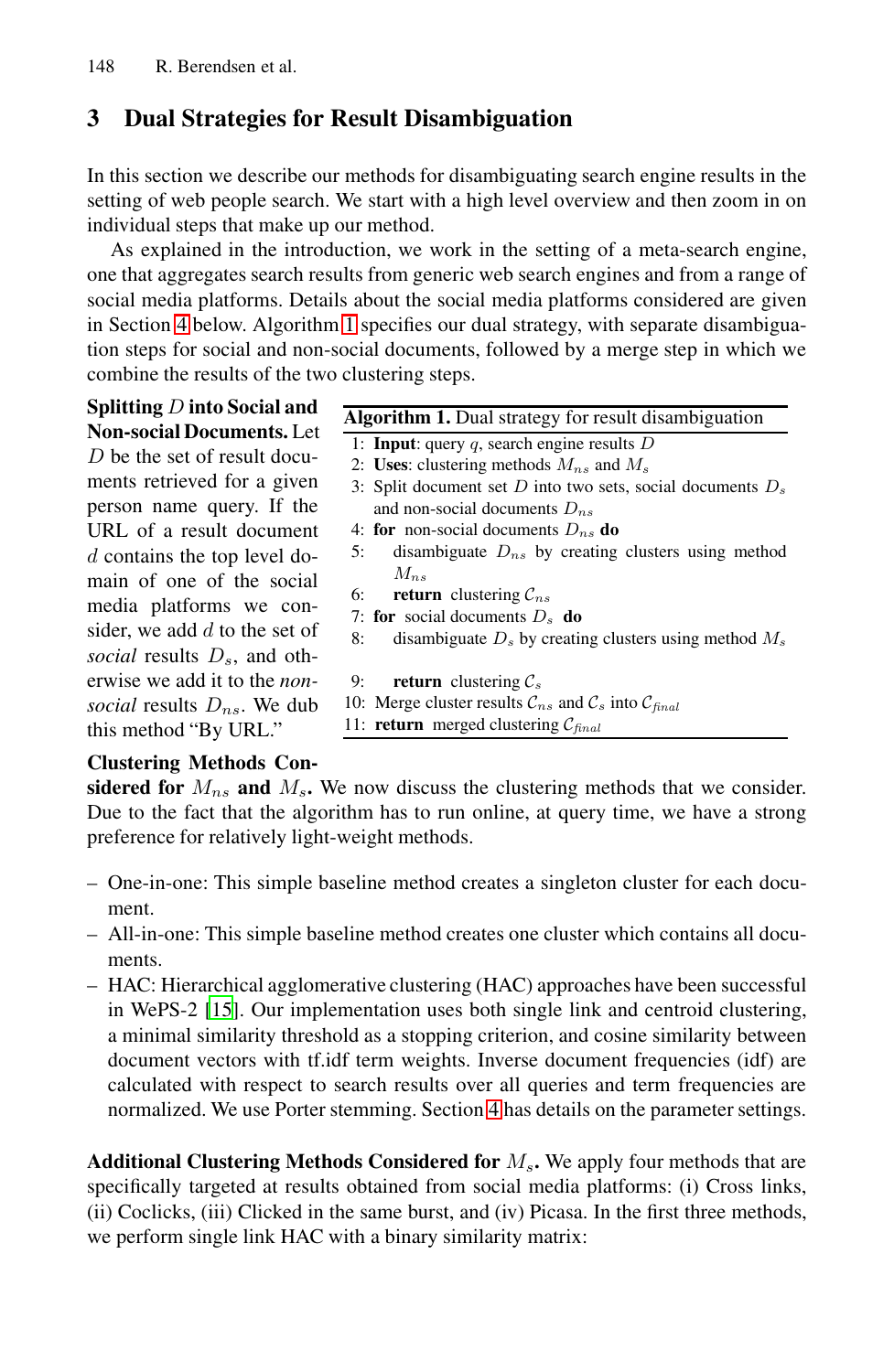# <span id="page-2-1"></span><span id="page-2-0"></span>**3 Dua[l S](#page-2-1)trategies for Result Disambiguation**

In this section we describe our methods for disambiguating search engine results in the setting of web people search. We start with a high level overview and then zoom in on individual steps that make up our method.

As explained in the introduction, we work in the setting of a meta-search engine, one that aggregates search results from generic web search engines and from a range of social media platforms. Details about the social media platforms considered are given in Section 4 below. Algorithm 1 specifies our dual strategy, with separate disambiguation steps for social and non-social documents, followed by a merge step in which we combine the results of the two clustering steps.

# **Splitting** D **into Social and**

**Non-social Documents.** Let D be the set of result documents retrieved for a given person name query. If the URL of a result document d contains the top level domain of one of the social media platforms we consider, we add  $d$  to the set of *social* results  $D_s$ , and otherwise we add it to the *nonsocial* results  $D_{ns}$ . We dub this method "By URL."

### **Algorithm 1.** Dual strategy for result disambiguation 1: **Input**: query q, search engine results D 2: **Uses**: clustering methods  $M_{ns}$  and  $M_s$ 3: Split document set  $D$  into two sets, social documents  $D_s$ and non-social documents  $D_{ns}$ 4: **for** non-social documents Dns **do** 5: disambiguate  $D_{ns}$  by creating clusters using method  $M_{ns}$ 6: **return** clustering  $C_{ns}$ 7: **for** social documents  $D_s$  **do** 8: disambiguate  $D_s$  by creating clusters using method  $M_s$ 9: **return** clustering  $C_s$

10: Merge cluster results  $\mathcal{C}_{ns}$  and  $\mathcal{C}_s$  into  $\mathcal{C}_{final}$ 

11: **return** merged clustering C*final*

**Clustering Methods Con-**

**sidered for**  $M_{ns}$  and  $M_{ss}$ . We now discuss the clustering methods that we consider. Due to the fact that the algorithm has to run online, at query time, we have a strong preference for relatively light-weight methods.

- One-in-one: This simple baseline method creates a singleton cluster for each document.
- All-in-one: This simple [bas](#page-3-0)eline method creates one cluster which contains all documents.
- HAC: Hierarchical agglomerative clustering (HAC) approaches have been successful in WePS-2 [15]. Our implementation uses both single link and centroid clustering, a minimal similarity threshold as a stopping criterion, and cosine similarity between document vectors with tf.idf term weights. Inverse document frequencies (idf) are calculated with respect to search results over all queries and term frequencies are normalized. We use Porter stemming. Section 4 has details on the parameter settings.

**Additional Clustering Methods Considered for**  $M_s$ **. We apply four methods that are** specifically targeted at results obtained from social media platforms: (i) Cross links, (ii) Coclicks, (iii) Clicked in the same burst, and (iv) Picasa. In the first three methods, we perform single link HAC with a binary similarity matrix: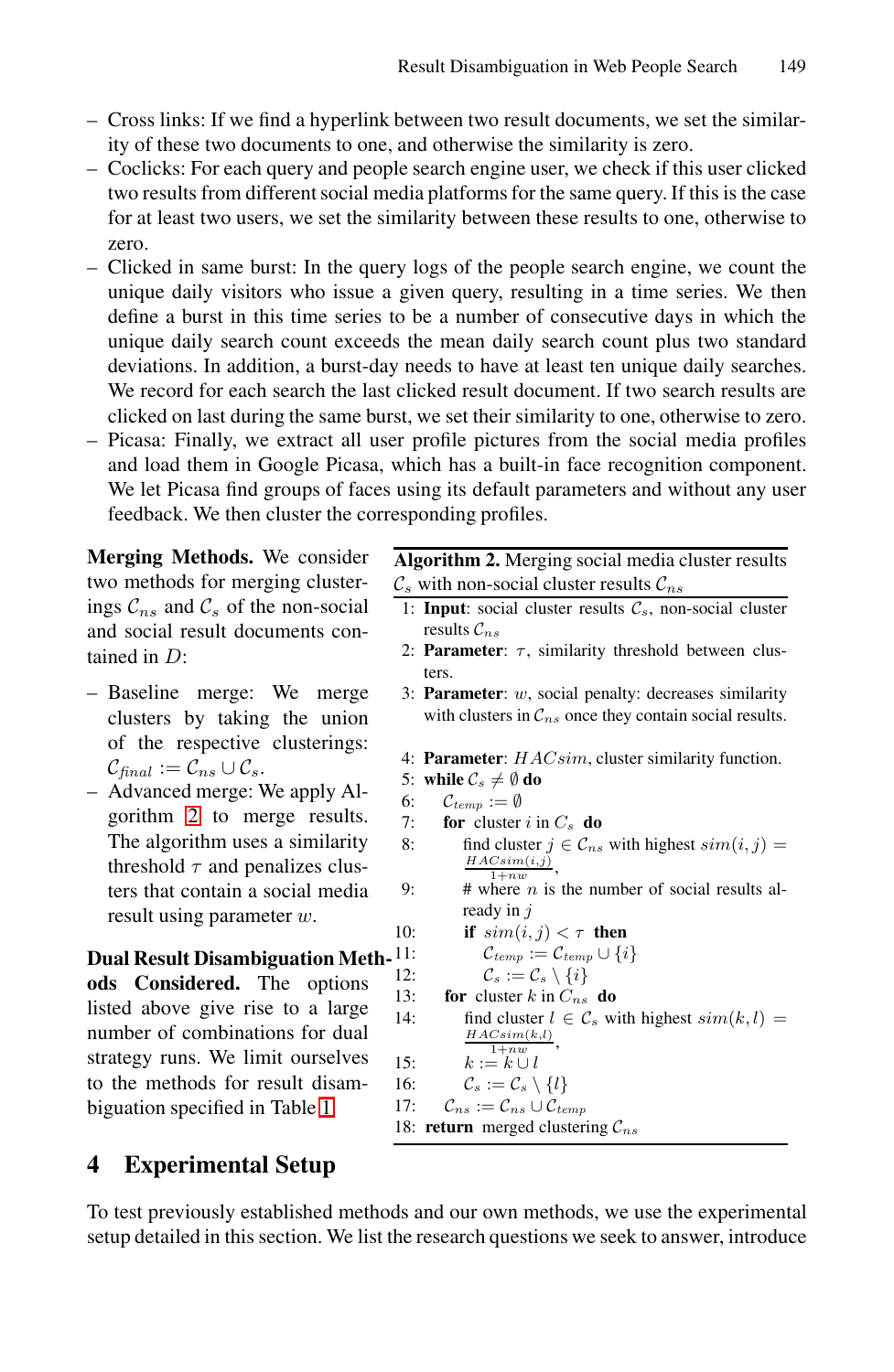- Cross links: If we find a hyperlink between two result documents, we set the similarity of these two documents to one, and otherwise the similarity is zero.
- <span id="page-3-1"></span>– Coclicks: For each query and people search engine user, we check if this user clicked two results from different social media platforms for the same query. If this is the case for at least two users, we set the similarity between these results to one, otherwise to zero.
- Clicked in same burst: In the query logs of the people search engine, we count the unique daily visitors who issue a given query, resulting in a time series. We then define a burst in this time series to be a number of consecutive days in which the unique daily search count exceeds the mean daily search count plus two standard deviations. In addition, a burst-day needs to have at least ten unique daily searches. We record for each search the last clicked result document. If two search results are clicked on last during the same burst, we set their similarity to one, otherwise to zero.
- Picasa: Finally, we extract all user profile pictures from the social media profiles and load them in Google Picasa, which has a built-in face recognition component. We let Picasa find groups of faces using its default parameters and without any user feedback. We then cluster the corresponding profiles.

**Merging Methods.** We consider two methods for merging clusterings  $C_{ns}$  and  $C_s$  of the non-social and social result documents contained in D:

- Baseline merge: We merge clusters by taking the union of the respective clusterings:  $\mathcal{C}_{\text{final}} := \mathcal{C}_{ns} \cup \mathcal{C}_{s}.$
- <span id="page-3-0"></span>– Advanced merge: We apply Algorithm 2 to merge results. The algorithm uses a similarity threshold  $\tau$  and penalizes clusters that contain a social media resul[t u](#page-4-0)sing parameter w.

**Dual Result Disambiguation Methods Considered.** The options listed above give rise to a large number of combinations for dual strategy runs. We limit ourselves to the methods for result disambiguation specified in Table 1.

**Algorithm 2.** Merging social media cluster results  $\mathcal{C}_s$  with non-social cluster results  $\mathcal{C}_{ns}$ 

- 1: **Input**: social cluster results  $C_s$ , non-social cluster results  $\mathcal{C}_{ns}$
- 2: **Parameter**:  $\tau$ , similarity threshold between clusters.
- 3: **Parameter**: w, social penalty: decreases similarity with clusters in  $\mathcal{C}_{ns}$  once they contain social results.

```
4: Parameter: HACsim, cluster similarity function.
```

```
5: while \mathcal{C}_s \neq \emptyset do
```

```
6: \mathcal{C}_{temp} := \emptyset7: for cluster i in C_s do
```
- 8: find cluster  $j \in \mathcal{C}_{ns}$  with highest  $sim(i, j)$  =  $\frac{HACsim(i,j)}{1+nw}$
- 9: # where *n* is the number of social results already in  $j$
- 10: **if**  $\text{sim}(i, j) < \tau$  **then**
- $\mathcal{C}_{temp} := \mathcal{C}_{temp} \cup \{i\}$ 12:  $\mathcal{C}_s := \mathcal{C}_s \setminus \{i\}$

13: **for** cluster k in  $C_{ns}$  **do** 

14: find cluster  $l \in \mathcal{C}_s$  with highest  $sim(k, l)$  =  $\frac{HACsim(k,l)}{1+nw}$ , 15:  $k := k \cup l$ 16:  $\mathcal{C}_s := \mathcal{C}_s \setminus \{l\}$ 

17:  $\mathcal{C}_{ns} := \mathcal{C}_{ns} \cup \mathcal{C}_{temp}$ 

18: **return** merged clustering  $C_{ns}$ 

# **4 Experimental Setup**

To test previously established methods and our own methods, we use the experimental setup detailed in this section. We list the research questions we seek to answer, introduce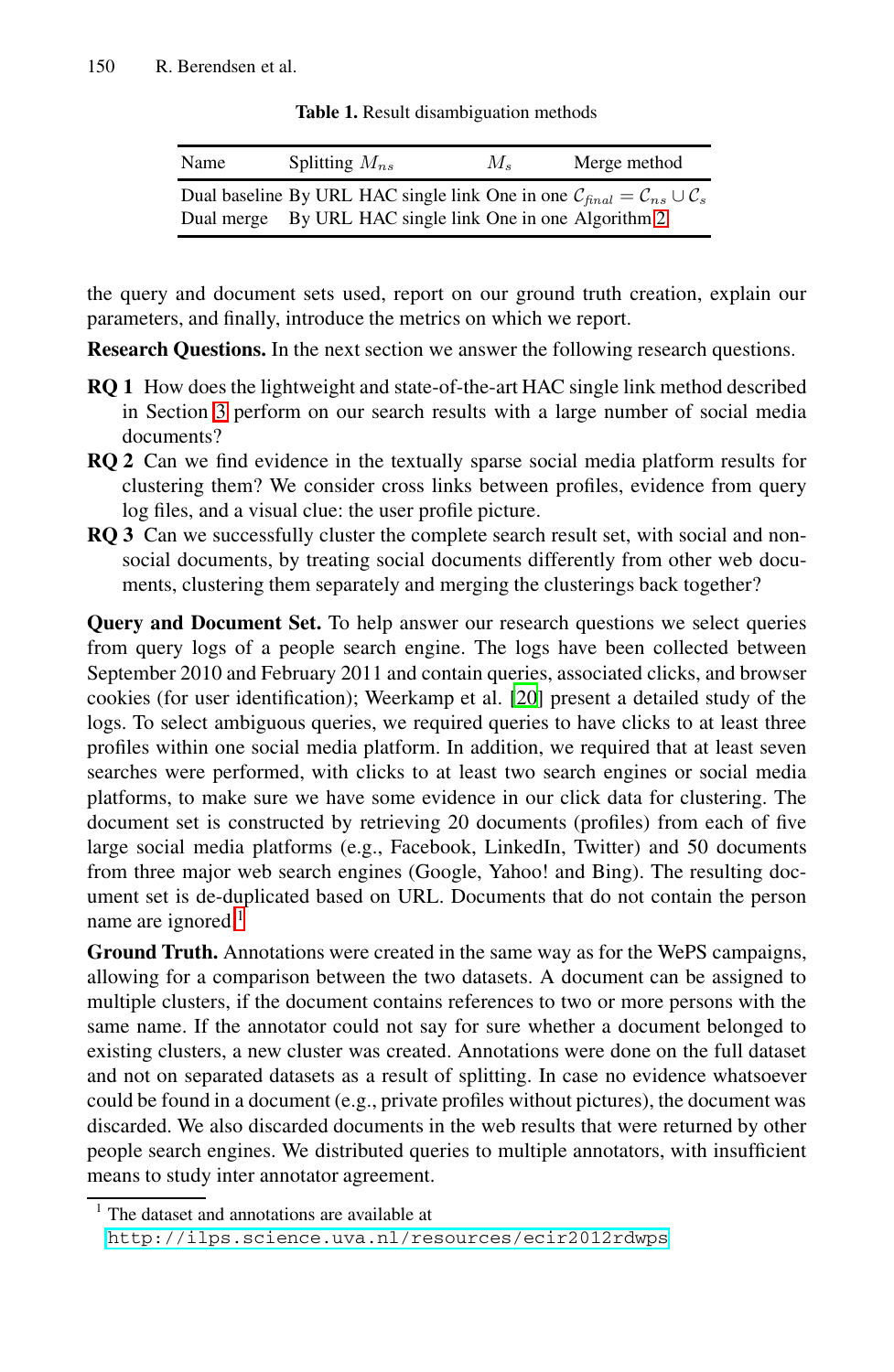**Table 1.** Result disambiguation methods

<span id="page-4-0"></span>

| Name       | Splitting $M_{ns}$                                                                                                                 | $M_{s}$ | Merge method |
|------------|------------------------------------------------------------------------------------------------------------------------------------|---------|--------------|
|            | Dual baseline By URL HAC single link One in one $\mathcal{C}_{\text{final}} = \mathcal{C}_{\text{ns}} \cup \mathcal{C}_{\text{s}}$ |         |              |
| Dual merge | By URL HAC single link One in one Algorithm 2                                                                                      |         |              |

the query and document sets used, report on our ground truth creation, explain our parameters, and finally, introduce the metrics on which we report.

**Research Questions.** In the next section we answer the following research questions.

- **RQ 1** How does the lightweight and state-of-the-art HAC single link method described in Section 3 perform on our search results with a large number of social media documents?
- **RQ 2** Can we find evidence in the textually sparse social media platform results for clustering them? We consider cross links between profiles, evidence from query log files, and a visual clue[:](#page-11-10) [the](#page-11-10) user profile picture.
- **RQ 3** Can we successfully cluster the complete search result set, with social and nonsocial documents, by treating social documents differently from other web documents, clustering them separately and merging the clusterings back together?

**Query and Document Set.** To help answer our research questions we select queries from query logs of a people search engine. The logs have been collected between September 2010 and February 2011 and contain queries, associated clicks, and browser cookies (for user identification); Weerkamp et al. [20] present a detailed study of the logs. To select ambiguous queries, we required queries to have clicks to at least three profiles within one social media platform. In addition, we required that at least seven searches were performed, with clicks to at least two search engines or social media platforms, to make sure we have some evidence in our click data for clustering. The document set is constructed by retrieving 20 documents (profiles) from each of five large social media platforms (e.g., Facebook, LinkedIn, Twitter) and 50 documents from three major web search engines (Google, Yahoo! and Bing). The resulting document set is de-duplicated based on URL. Documents that do not contain the person name are ignored.<sup>1</sup>

**Ground Truth.** Annotations were created in the same way as for the WePS campaigns, allowing for a comparison between the two datasets. A document can be assigned to multiple clusters, if the document contains references to two or more persons with the same name. If the annotator could not say for sure whether a document belonged to [existing clusters, a new cluster was created. Anno](http://ilps.science.uva.nl/resources/ecir2012rdwps)tations were done on the full dataset and not on separated datasets as a result of splitting. In case no evidence whatsoever could be found in a document (e.g., private profiles without pictures), the document was discarded. We also discarded documents in the web results that were returned by other people search engines. We distributed queries to multiple annotators, with insufficient means to study inter annotator agreement.

<sup>&</sup>lt;sup>1</sup> The dataset and annotations are available at

http://ilps.science.uva.nl/resources/ecir2012rdwps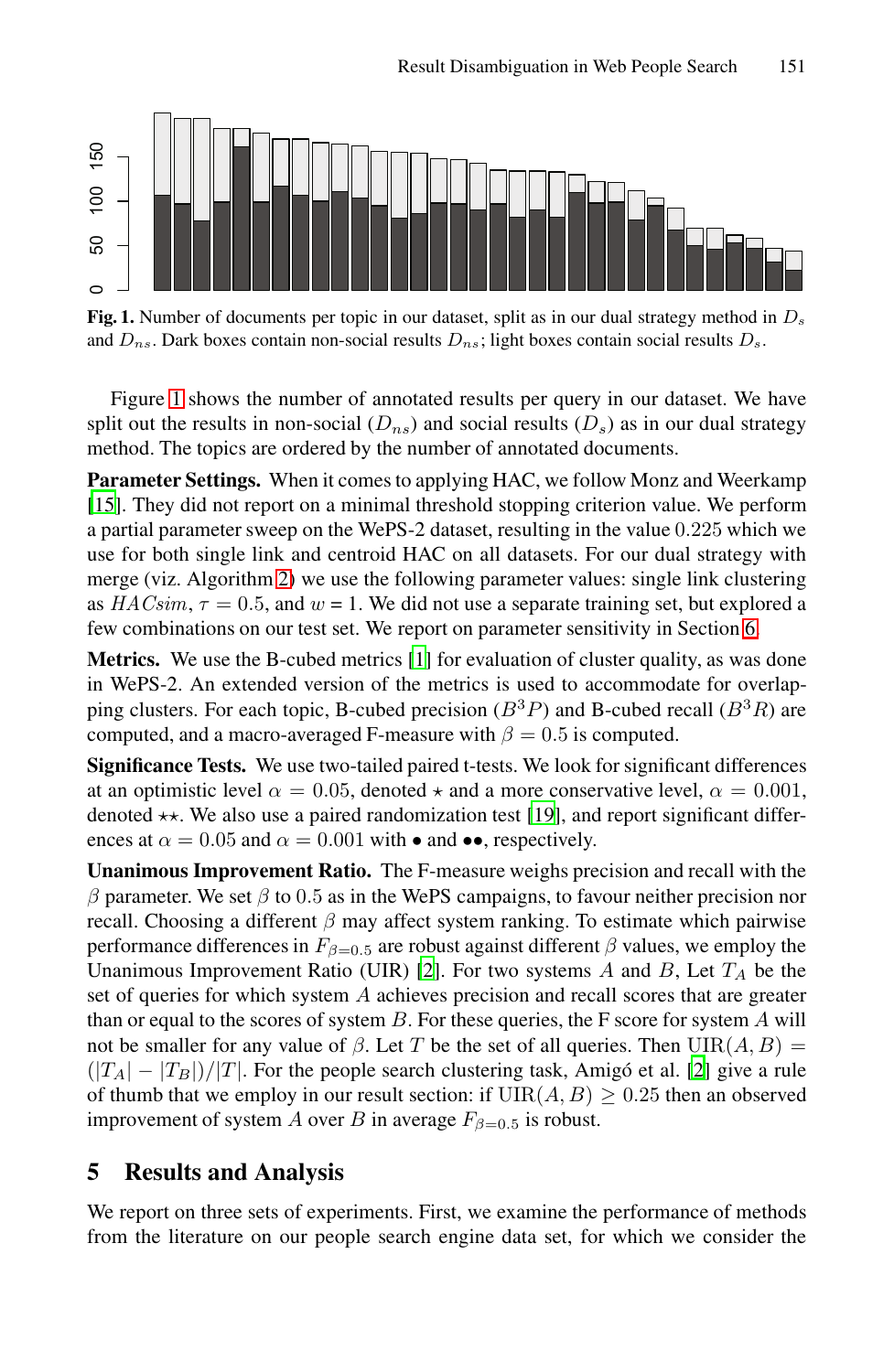

**Fig. 1.** Number of documents per topic in our dataset, split as in our dual strategy method in  $D_s$ and  $D_{ns}$ . Dark boxes contain non-social results  $D_{ns}$ ; light boxes contain social results  $D_s$ .

[F](#page-3-1)igure 1 shows the number of annotated results per query in our dataset. We have split out the results in non-social  $(D_{ns})$  and social results  $(D_s)$  as in our dual strategy method. The topics are ordered by the number of annotate[d](#page-9-0) [d](#page-9-0)ocuments.

**Parameter Settin[gs](#page-10-3).** When it comes to applying HAC, we follow Monz and Weerkamp [15]. They did not report on a minimal threshold stopping criterion value. We perform a partial parameter sweep on the WePS-2 dataset, resulting in the value 0.225 which we use for both single link and centroid HAC on all datasets. For our dual strategy with merge (viz. Algorithm 2) we use the following parameter values: single link clustering as  $HACsim$ ,  $\tau = 0.5$ , and  $w = 1$ . We did not use a separate training set, but explored a few combinations on our test set. [We](#page-11-11) report on parameter sensitivity in Section 6.

**Metrics.** We use the B-cubed metrics [1] for evaluation of cluster quality, as was done in WePS-2. An extended version of the metrics is used to accommodate for overlapping clusters. For each topic, B-cubed precision  $(B^{3}P)$  and B-cubed recall  $(B^{3}R)$  are computed, and a macro-averaged F-measure with  $\beta = 0.5$  is computed.

<span id="page-5-0"></span>**Significance Tests.** We use two-tailed paired t-tests. We look for significant differences at an optimistic lev[el](#page-10-4)  $\alpha = 0.05$ , denoted  $\star$  and a more conservative level,  $\alpha = 0.001$ , denoted  $\star\star$ . We also use a paired randomization test [19], and report significant differences at  $\alpha = 0.05$  and  $\alpha = 0.001$  with • and ••, respectively.

**Unanimous Improvement Ratio.** The F-measure [we](#page-10-4)ighs precision and recall with the  $β$  parameter. We set  $β$  to 0.5 as in the WePS campaigns, to favour neither precision nor recall. Choosing a different  $\beta$  may affect system ranking. To estimate which pairwise performance differences in  $F_{\beta=0.5}$  are robust against different  $\beta$  values, we employ the Unanimous Improvement Ratio (UIR) [2]. For two systems  $A$  and  $B$ , Let  $T_A$  be the set of queries for which system A achieves precision and recall scores that are greater than or equal to the scores of system  $B$ . For these queries, the F score for system  $A$  will not be smaller for any value of  $\beta$ . Let T be the set of all queries. Then  $UIR(A, B)$  =  $(|T_A|-|T_B|)/|T|$ . For the people search clustering task, Amigó et al. [2] give a rule of thumb that we employ in our result section: if  $\text{UIR}(A, B) \geq 0.25$  then an observed improvement of system A over B in average  $F_{\beta=0.5}$  is robust.

### **5 Results and Analysis**

We report on three sets of experiments. First, we examine the performance of methods from the literature on our people search engine data set, for which we consider the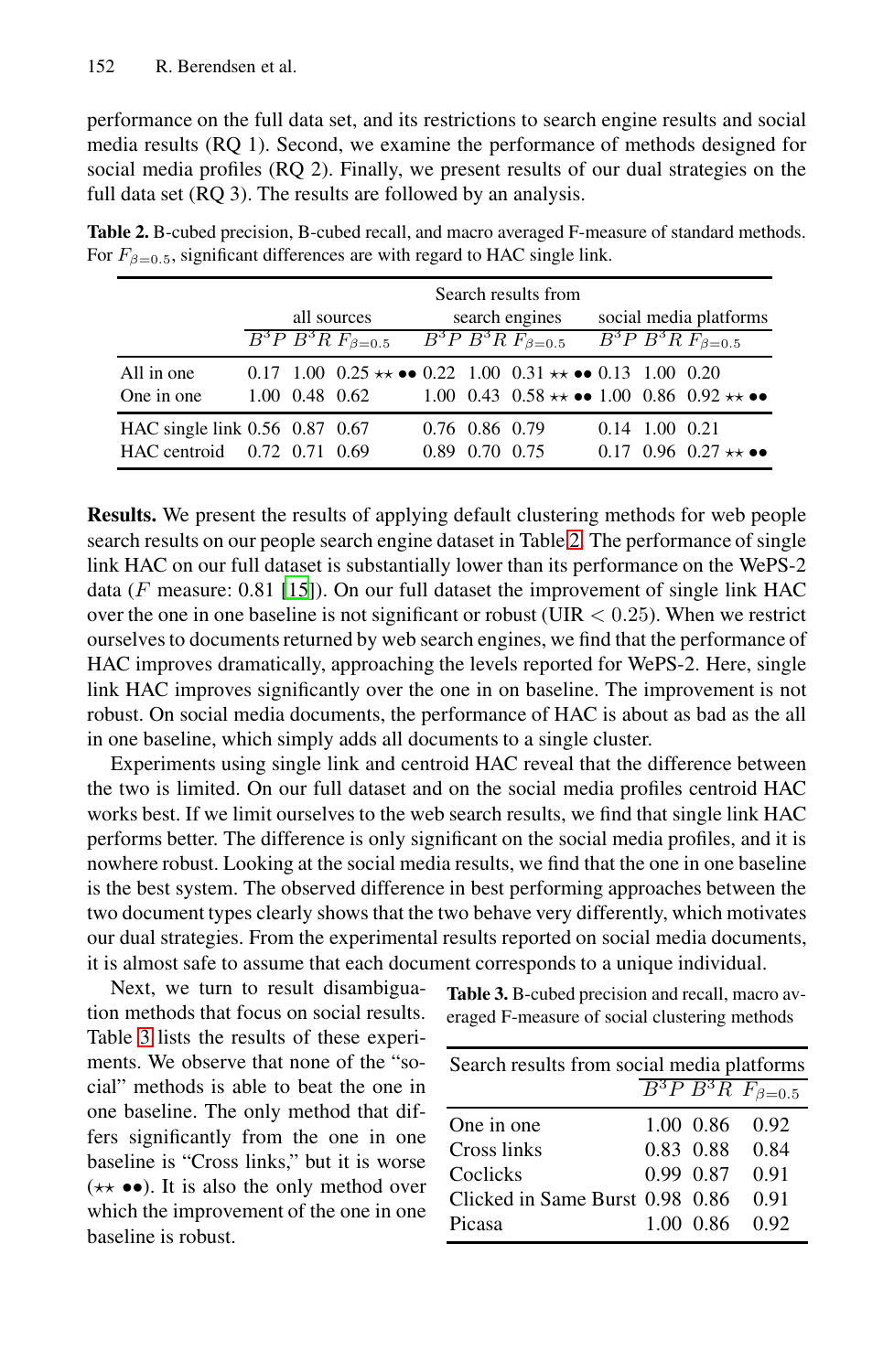performance on the full data set, and its restrictions to search engine results and social media results (RQ 1). Second, we examine the performance of methods designed for social media profiles (RQ 2). Finally, we present results of our dual strategies on the full data set (RQ 3). The results are followed by an analysis.

**Table 2.** B-cubed precision, B-cubed recall, and macro averaged F-measure of standard methods. For  $F_{\beta=0.5}$ , significant differences are with regard to HAC single link.

|                                                               | Search results from<br>search engines<br>all sources |                           |  |                                  |                                                                                                          | social media platforms |                  |                                                                                     |  |
|---------------------------------------------------------------|------------------------------------------------------|---------------------------|--|----------------------------------|----------------------------------------------------------------------------------------------------------|------------------------|------------------|-------------------------------------------------------------------------------------|--|
|                                                               |                                                      | $B^3P B^3R F_{\beta=0.5}$ |  |                                  | $B^3P B^3R F_{\beta=0.5}$                                                                                |                        |                  | $B^3P B^3R F_{\beta=0.5}$                                                           |  |
| All in one<br>One in one                                      |                                                      | 1.00 0.48 0.62            |  |                                  | 0.17 1.00 $0.25 \star \star \bullet \bullet 0.22$ 1.00 $0.31 \star \star \bullet \bullet 0.13$ 1.00 0.20 |                        |                  | 1.00 0.43 0.58 $\star\star\bullet\bullet$ 1.00 0.86 0.92 $\star\star\bullet\bullet$ |  |
| HAC single link 0.56 0.87 0.67<br>HAC centroid 0.72 0.71 0.69 |                                                      |                           |  | 0.76 0.86 0.79<br>0.89 0.70 0.75 |                                                                                                          |                        | $0.14$ 1.00 0.21 | 0.17 0.96 0.27 $\star\star\bullet\bullet$                                           |  |

**Results.** We present the results of applying default clustering methods for web people search results on our people search engine dataset in Table 2. The performance of single link HAC on our full dataset is substantially lower than its performance on the WePS-2 data ( $F$  measure: 0.81 [15]). On our full dataset the improvement of single link HAC over the one in one baseline is not significant or robust (UIR  $< 0.25$ ). When we restrict ourselves to documents returned by web search engines, we find that the performance of HAC improves dramatically, approaching the levels reported for WePS-2. Here, single link HAC improves significantly over the one in on baseline. The improvement is not robust. On social media documents, the performance of HAC is about as bad as the all in one baseline, which simply adds all documents to a single cluster.

Experiments using single link and centroid HAC reveal that the difference between the two is limited. On our full dataset and on the social media profiles centroid HAC works best. If we limit ourselves to the web search results, we find that single link HAC performs better. The difference is only significant on the social media profiles, and it is nowhere robust. Looking at the social media results, we find that the one in one baseline is the best system. The observed difference in best performing approaches between the two document types clearly shows that the two behave very differently, which motivates our dual strategies. From the experimental results reported on social media documents, it is almost safe to assume that each document corresponds to a unique individual.

Next, we turn to result disambiguation methods that focus on social results. Table 3 lists the results of these experiments. We observe that none of the "social" methods is able to beat the one in one baseline. The only method that differs significantly from the one in one baseline is "Cross links," but it is worse  $(\star \star \bullet \bullet)$ . It is also the only method over which the improvement of the one in one baseline is robust.

**Table 3.** B-cubed precision and recall, macro averaged F-measure of social clustering methods

| Search results from social media platforms |  |               |                           |  |  |  |
|--------------------------------------------|--|---------------|---------------------------|--|--|--|
|                                            |  |               | $B^3P B^3R F_{\beta=0.5}$ |  |  |  |
| One in one                                 |  | 1.00 0.86     | 0.92                      |  |  |  |
| Cross links                                |  | 0.83 0.88     | 0.84                      |  |  |  |
| Coclicks                                   |  | $0.99$ $0.87$ | 0.91                      |  |  |  |
| Clicked in Same Burst 0.98 0.86            |  |               | 0.91                      |  |  |  |
| Picasa                                     |  | 1.00 0.86     | 0.92                      |  |  |  |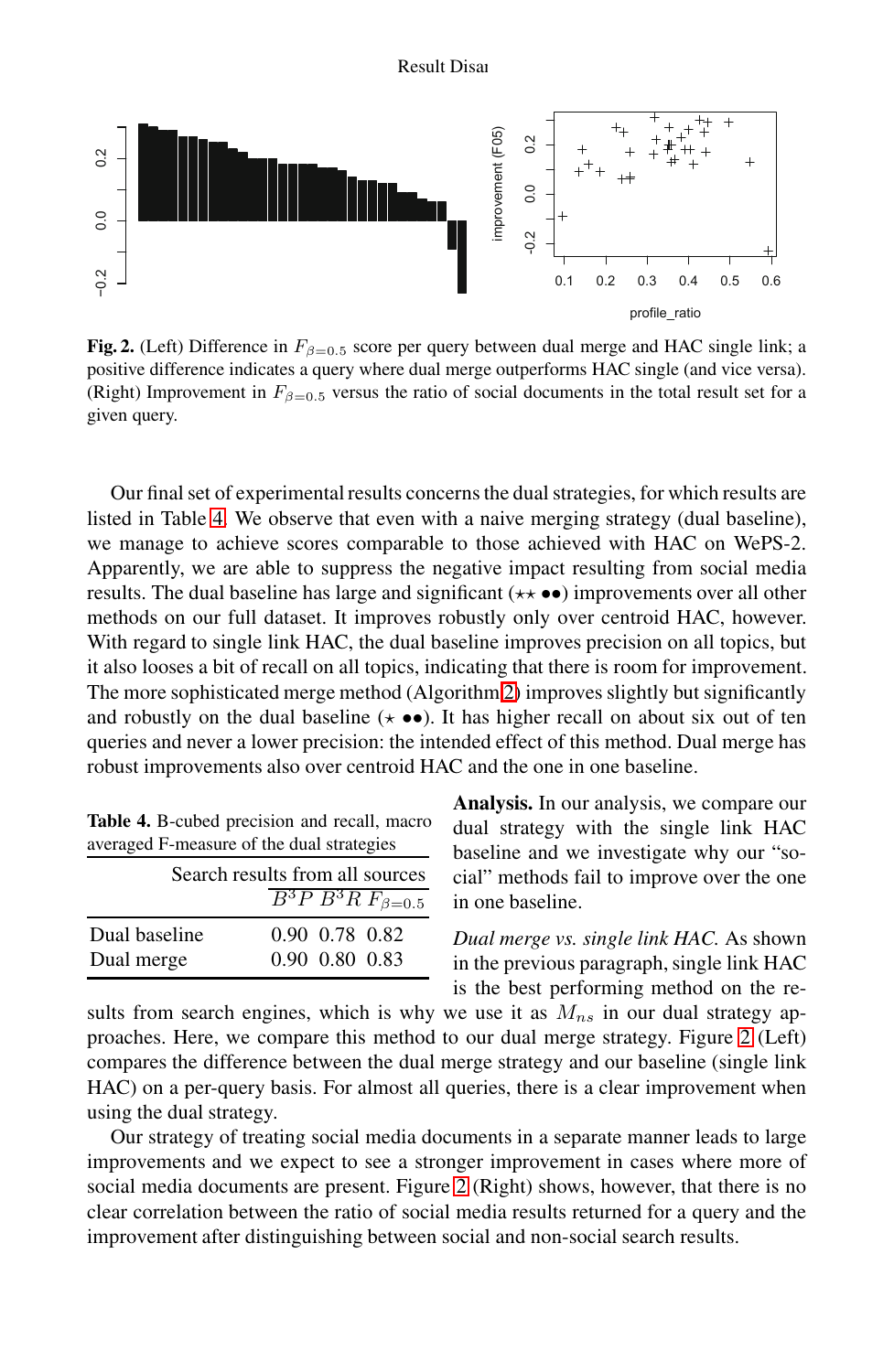#### Result Disar

<span id="page-7-0"></span>

**Fig. 2.** (Left) Difference in  $F_{\beta=0.5}$  score per query between dual merge and HAC single link; a positive difference indicates a query where dual merge outperforms HAC single (and vice versa). (Right) Improvement in  $F_{\beta=0.5}$  versus the ratio of social documents in the total result set for a given query.

Our final set of experiment[al](#page-3-1) results concerns the dual strategies, for which results are listed in Table 4. We observe that even with a naive merging strategy (dual baseline), we manage to achieve scores comparable to those achieved with HAC on WePS-2. Apparently, we are able to suppress the negative impact resulting from social media results. The dual baseline has large and significant  $(\star \star \bullet \bullet)$  improvements over all other methods on our full dataset. It improves robustly only over centroid HAC, however. With regard to single link HAC, the dual baseline improves precision on all topics, but it also looses a bit of recall on all topics, indicating that there is room for improvement. The more sophisticated merge method (Algorithm 2) improves slightly but significantly and robustly on the dual baseline ( $\star \bullet \bullet$ ). It has higher recall on about six out of ten queries and never a lower precision: the intended effect of this method. Dual merge has robust improvements also over centroid HAC and the one in one baseline.

|  | <b>Table 4.</b> B-cubed precision and recall, macro |  |  |
|--|-----------------------------------------------------|--|--|
|  | averaged F-measure of the dual strategies           |  |  |

|               | Search results from all sources |                |                                      |  |  |  |
|---------------|---------------------------------|----------------|--------------------------------------|--|--|--|
|               |                                 |                | $\overline{B^3P B^3R F_{\beta=0.5}}$ |  |  |  |
| Dual baseline |                                 | 0.90 0.78 0.82 |                                      |  |  |  |
| Dual merge    |                                 | 0.90 0.80 0.83 |                                      |  |  |  |

**Analysis.** In our analysis, we compare our dual strategy with the single link HAC baseline and [we](#page-7-0) investigate why our "social" methods fail to improve over the one in one baseline.

*Dual merge vs. single link HAC.* As shown in the previous paragraph, single link HAC is the best performing method on the re-

sults from search engi[ne](#page-7-0)s, which is why we use it as  $M_{ns}$  in our dual strategy approaches. Here, we compare this method to our dual merge strategy. Figure 2 (Left) compares the difference between the dual merge strategy and our baseline (single link HAC) on a per-query basis. For almost all queries, there is a clear improvement when using the dual strategy.

Our strategy of treating social media documents in a separate manner leads to large improvements and we expect to see a stronger improvement in cases where more of social media documents are present. Figure 2 (Right) shows, however, that there is no clear correlation between the ratio of social media results returned for a query and the improvement after distinguishing between social and non-social search results.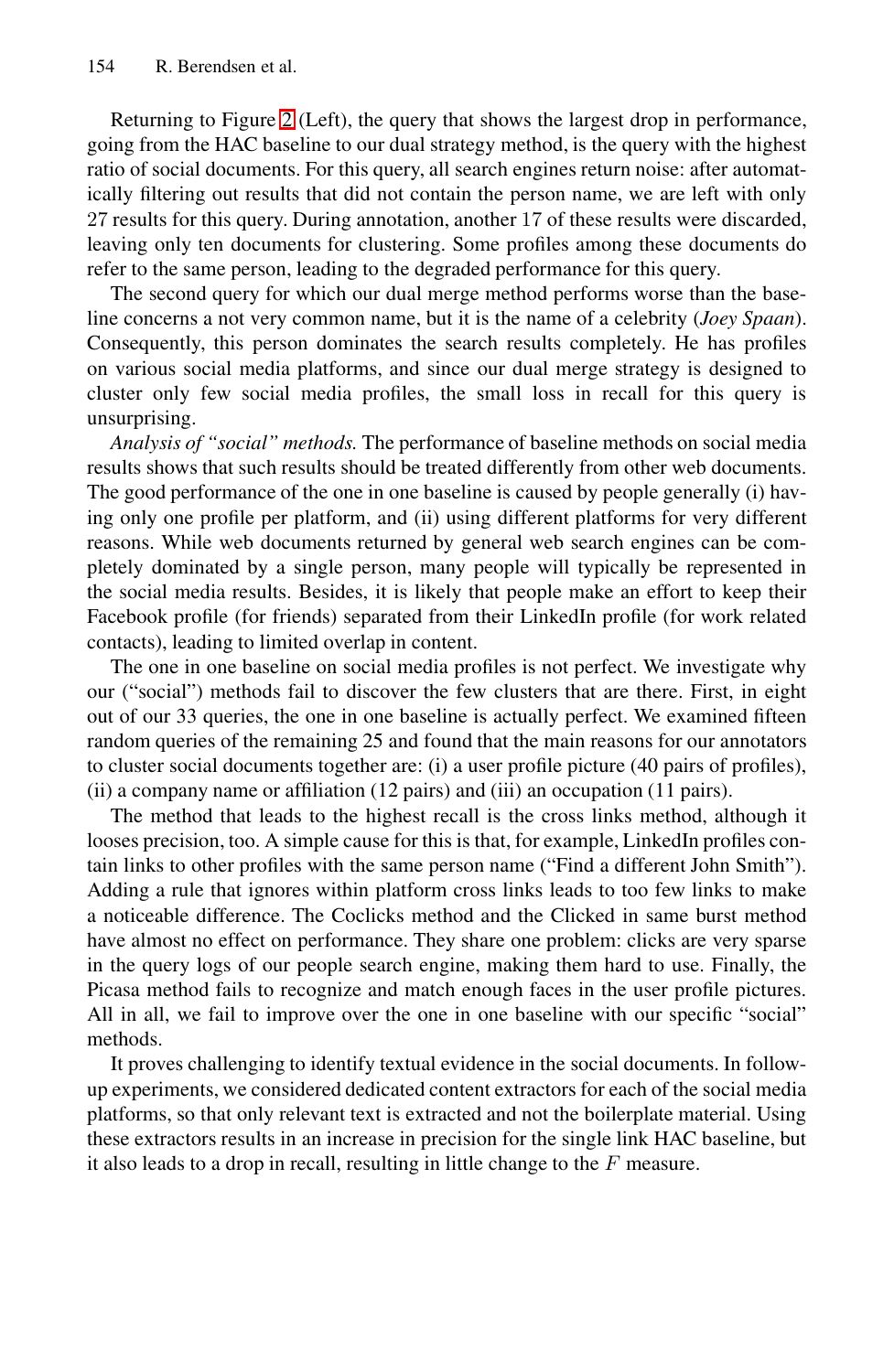Returning to Figure 2 (Left), the query that shows the largest drop in performance, going from the HAC baseline to our dual strategy method, is the query with the highest ratio of social documents. For this query, all search engines return noise: after automatically filtering out results that did not contain the person name, we are left with only 27 results for this query. During annotation, another 17 of these results were discarded, leaving only ten documents for clustering. Some profiles among these documents do refer to the same person, leading to the degraded performance for this query.

The second query for which our dual merge method performs worse than the baseline concerns a not very common name, but it is the name of a celebrity (*Joey Spaan*). Consequently, this person dominates the search results completely. He has profiles on various social media platforms, and since our dual merge strategy is designed to cluster only few social media profiles, the small loss in recall for this query is unsurprising.

*Analysis of "social" methods.* The performance of baseline methods on social media results shows that such results should be treated differently from other web documents. The good performance of the one in one baseline is caused by people generally (i) having only one profile per platform, and (ii) using different platforms for very different reasons. While web documents returned by general web search engines can be completely dominated by a single person, many people will typically be represented in the social media results. Besides, it is likely that people make an effort to keep their Facebook profile (for friends) separated from their LinkedIn profile (for work related contacts), leading to limited overlap in content.

The one in one baseline on social media profiles is not perfect. We investigate why our ("social") methods fail to discover the few clusters that are there. First, in eight out of our 33 queries, the one in one baseline is actually perfect. We examined fifteen random queries of the remaining 25 and found that the main reasons for our annotators to cluster social documents together are: (i) a user profile picture (40 pairs of profiles), (ii) a company name or affiliation (12 pairs) and (iii) an occupation (11 pairs).

The method that leads to the highest recall is the cross links method, although it looses precision, too. A simple cause for this is that, for example, LinkedIn profiles contain links to other profiles with the same person name ("Find a different John Smith"). Adding a rule that ignores within platform cross links leads to too few links to make a noticeable difference. The Coclicks method and the Clicked in same burst method have almost no effect on performance. They share one problem: clicks are very sparse in the query logs of our people search engine, making them hard to use. Finally, the Picasa method fails to recognize and match enough faces in the user profile pictures. All in all, we fail to improve over the one in one baseline with our specific "social" methods.

It proves challenging to identify textual evidence in the social documents. In followup experiments, we considered dedicated content extractors for each of the social media platforms, so that only relevant text is extracted and not the boilerplate material. Using these extractors results in an increase in precision for the single link HAC baseline, but it also leads to a drop in recall, resulting in little change to the F measure.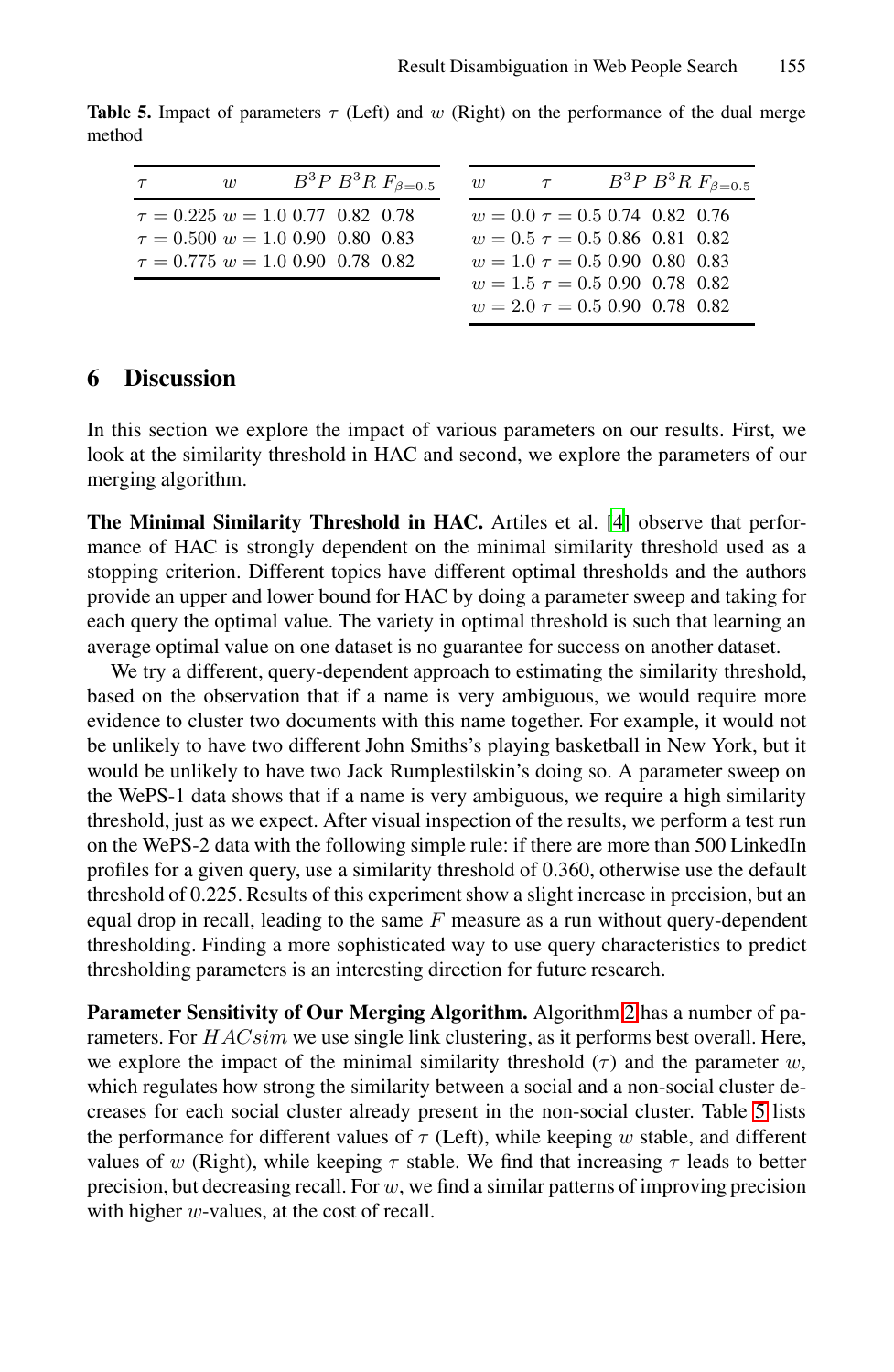<span id="page-9-1"></span><span id="page-9-0"></span>**Table 5.** Impact of parameters  $\tau$  (Left) and w (Right) on the performance of the dual merge method

| $\tau$ and $\tau$                                 | w | $B^3P B^3R F_{\beta=0.5}$ | w | $\tau$ |                                              | $B^3P B^3R F_{\beta=0.5}$ |
|---------------------------------------------------|---|---------------------------|---|--------|----------------------------------------------|---------------------------|
| $\tau = 0.225 \ w = 1.0 \ 0.77 \ 0.82 \ 0.78$     |   |                           |   |        | $w = 0.0 \tau = 0.5 \ 0.74 \ 0.82 \ 0.76$    |                           |
| $\tau = 0.500 \; w = 1.0 \; 0.90 \; 0.80 \; 0.83$ |   |                           |   |        | $w = 0.5 \tau = 0.5 \, 0.86 \, 0.81 \, 0.82$ |                           |
| $\tau = 0.775 \ w = 1.0 \ 0.90 \ 0.78 \ 0.82$     |   |                           |   |        | $w = 1.0 \tau = 0.5 \, 0.90 \, 0.80 \, 0.83$ |                           |
|                                                   |   |                           |   |        | $w = 1.5 \tau = 0.5 \ 0.90 \ 0.78 \ 0.82$    |                           |
|                                                   |   |                           |   |        | $w = 2.0 \tau = 0.5 \ 0.90 \ 0.78 \ 0.82$    |                           |

### **6 Discussion**

In this section we explore the impact of various parameters on our results. First, we look at the similarity threshold in HAC and second, we explore the parameters of our merging algorithm.

**The Minimal Similarity Threshold in HAC.** Artiles et al. [4] observe that performance of HAC is strongly dependent on the minimal similarity threshold used as a stopping criterion. Different topics have different optimal thresholds and the authors provide an upper and lower bound for HAC by doing a parameter sweep and taking for each query the optimal value. The variety in optimal threshold is such that learning an average optimal value on one dataset is no guarantee for success on another dataset.

We try a different, query-dependent approach to estimating the similarity threshold, based on the observation that if a name is very ambiguous, we would require more evidence to cluster two documents with this name together. For example, it would not be unlikely to have two different John Smiths's playing basketball in New York, but it would be unlikely to have two Jack Rumplestilskin's doing so. A parameter sweep on the WePS-1 data shows that if a name is very ambiguous, we require a high similarity threshold, just as we expect. After visual ins[pe](#page-3-1)ction of the results, we perform a test run on the WePS-2 data with the following simple rule: if there are more than 500 LinkedIn profiles for a given query, use a similarity threshold of 0.360, otherwise use the default threshold of 0.225. Results of this experiment show a slight increase in precision, but an equal drop in recall, leading to the same  $F$  measure as a r[un](#page-9-1) without query-dependent thresholding. Finding a more sophisticated way to use query characteristics to predict thresholding parameters is an interesting direction for future research.

**Parameter Sensitivity of Our Merging Algorithm.** Algorithm 2 has a number of parameters. For  $HACsim$  we use single link clustering, as it performs best overall. Here, we explore the impact of the minimal similarity threshold ( $\tau$ ) and the parameter w, which regulates how strong the similarity between a social and a non-social cluster decreases for each social cluster already present in the non-social cluster. Table 5 lists the performance for different values of  $\tau$  (Left), while keeping w stable, and different values of w (Right), while keeping  $\tau$  stable. We find that increasing  $\tau$  leads to better precision, but decreasing recall. For  $w$ , we find a similar patterns of improving precision with higher w-values, at the cost of recall.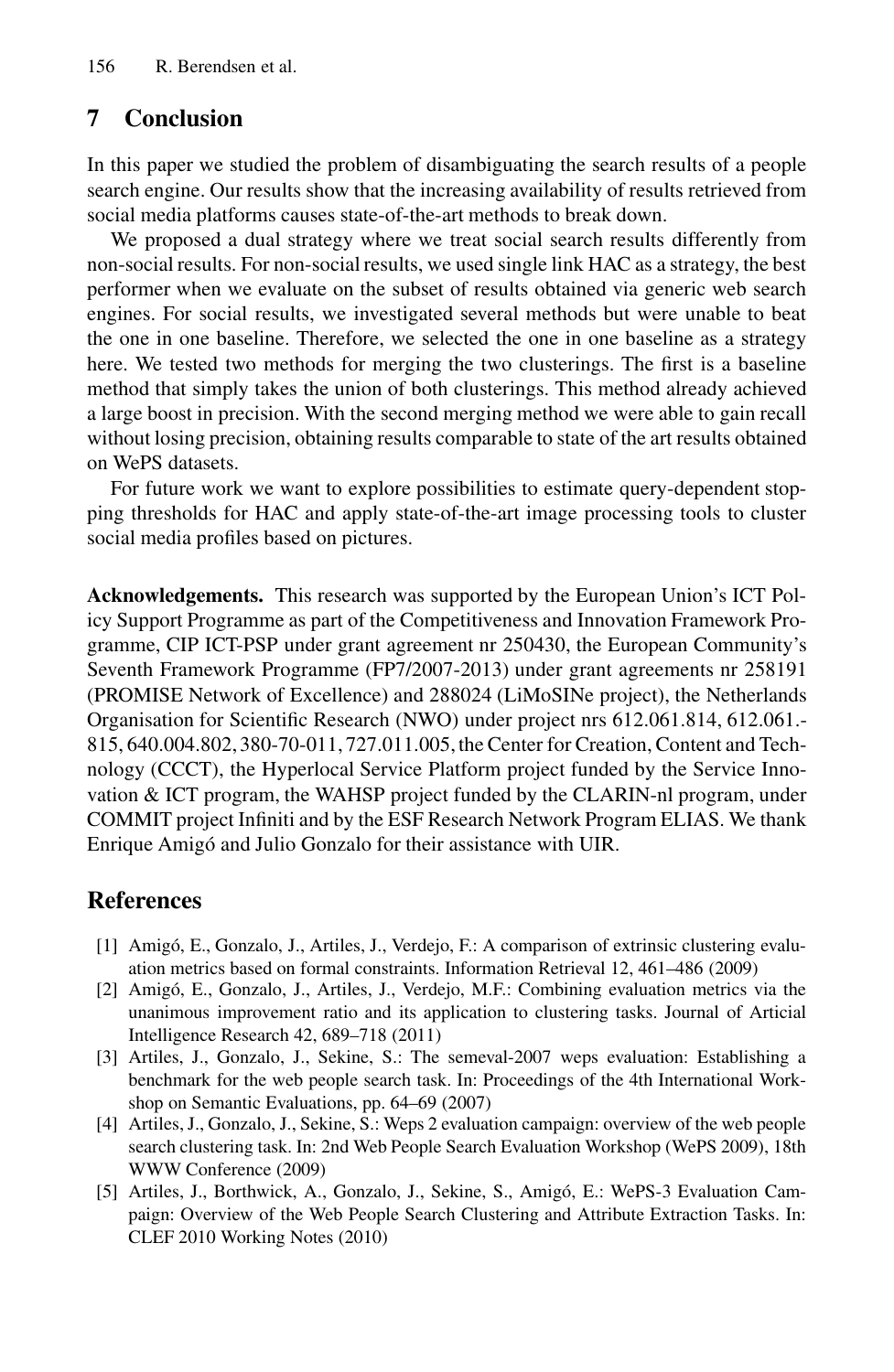# <span id="page-10-2"></span>**7 Conclusion**

In this paper we studied the problem of disambiguating the search results of a people search engine. Our results show that the increasing availability of results retrieved from social media platforms causes state-of-the-art methods to break down.

We proposed a dual strategy where we treat social search results differently from non-social results. For non-social results, we used single link HAC as a strategy, the best performer when we evaluate on the subset of results obtained via generic web search engines. For social results, we investigated several methods but were unable to beat the one in one baseline. Therefore, we selected the one in one baseline as a strategy here. We tested two methods for merging the two clusterings. The first is a baseline method that simply takes the union of both clusterings. This method already achieved a large boost in precision. With the second merging method we were able to gain recall without losing precision, obtaining results comparable to state of the art results obtained on WePS datasets.

For future work we want to explore possibilities to estimate query-dependent stopping thresholds for HAC and apply state-of-the-art image processing tools to cluster social media profiles based on pictures.

**Acknowledgements.** This research was supported by the European Union's ICT Policy Support Programme as part of the Competitiveness and Innovation Framework Programme, CIP ICT-PSP under grant agreement nr 250430, the European Community's Seventh Framework Programme (FP7/2007-2013) under grant agreements nr 258191 (PROMISE Network of Excellence) and 288024 (LiMoSINe project), the Netherlands Organisation for Scientific Research (NWO) under project nrs 612.061.814, 612.061. 815, 640.004.802, 380-70-011, 727.011.005, the Center for Creation, Content and Technology (CCCT), the Hyperlocal Service Platform project funded by the Service Innovation & ICT program, the WAHSP project funded by the CLARIN-nl program, under COMMIT project Infiniti and by the ESF Research Network Program ELIAS. We thank Enrique Amigó and Julio Gonzalo for their assistance with UIR.

# <span id="page-10-4"></span><span id="page-10-3"></span><span id="page-10-0"></span>**References**

- [1] Amigó, E., Gonzalo, J., Artiles, J., Verdejo, F.: A comparison of extrinsic clustering evaluation metrics based on formal constraints. Information Retrieval 12, 461–486 (2009)
- <span id="page-10-1"></span>[2] Amigó, E., Gonzalo, J., Artiles, J., Verdejo, M.F.: Combining evaluation metrics via the unanimous improvement ratio and its application to clustering tasks. Journal of Articial Intelligence Research 42, 689–718 (2011)
- [3] Artiles, J., Gonzalo, J., Sekine, S.: The semeval-2007 weps evaluation: Establishing a benchmark for the web people search task. In: Proceedings of the 4th International Workshop on Semantic Evaluations, pp. 64–69 (2007)
- [4] Artiles, J., Gonzalo, J., Sekine, S.: Weps 2 evaluation campaign: overview of the web people search clustering task. In: 2nd Web People Search Evaluation Workshop (WePS 2009), 18th WWW Conference (2009)
- [5] Artiles, J., Borthwick, A., Gonzalo, J., Sekine, S., Amigó, E.: WePS-3 Evaluation Campaign: Overview of the Web People Search Clustering and Attribute Extraction Tasks. In: CLEF 2010 Working Notes (2010)